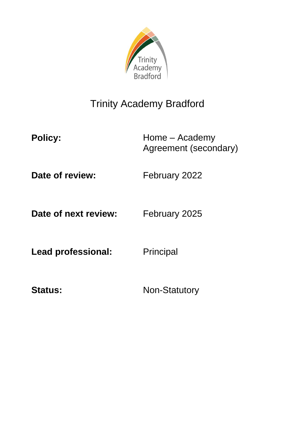

# Trinity Academy Bradford

Policy: Home – Academy Agreement (secondary)

**Date of review:** February 2022

**Date of next review:** February 2025

Lead professional: Principal

Status: Non-Statutory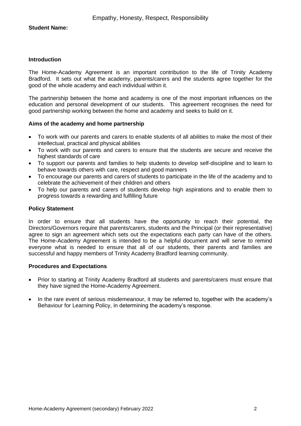# **Student Name:**

## **Introduction**

The Home-Academy Agreement is an important contribution to the life of Trinity Academy Bradford. It sets out what the academy, parents/carers and the students agree together for the good of the whole academy and each individual within it.

The partnership between the home and academy is one of the most important influences on the education and personal development of our students. This agreement recognises the need for good partnership working between the home and academy and seeks to build on it.

# **Aims of the academy and home partnership**

- To work with our parents and carers to enable students of all abilities to make the most of their intellectual, practical and physical abilities
- To work with our parents and carers to ensure that the students are secure and receive the highest standards of care
- To support our parents and families to help students to develop self-discipline and to learn to behave towards others with care, respect and good manners
- To encourage our parents and carers of students to participate in the life of the academy and to celebrate the achievement of their children and others
- To help our parents and carers of students develop high aspirations and to enable them to progress towards a rewarding and fulfilling future

#### **Policy Statement**

In order to ensure that all students have the opportunity to reach their potential, the Directors/Governors require that parents/carers, students and the Principal (or their representative) agree to sign an agreement which sets out the expectations each party can have of the others. The Home-Academy Agreement is intended to be a helpful document and will serve to remind everyone what is needed to ensure that all of our students, their parents and families are successful and happy members of Trinity Academy Bradford learning community.

#### **Procedures and Expectations**

- Prior to starting at Trinity Academy Bradford all students and parents/carers must ensure that they have signed the Home-Academy Agreement.
- In the rare event of serious misdemeanour, it may be referred to, together with the academy's Behaviour for Learning Policy, in determining the academy's response.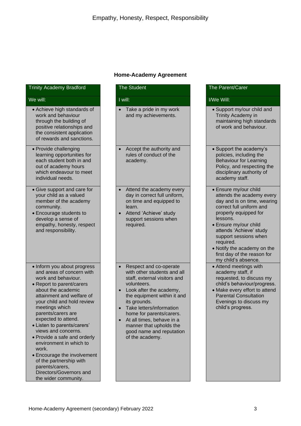# **Home-Academy Agreement**

| <b>Trinity Academy Bradford</b>                                                                                                                                                                                                                                                                                                                                                                                                                                                                                        | <b>The Student</b>                                                                                                                                                                                                                                                                                                                                                      | The Parent/Carer                                                                                                                                                                                                                                  |
|------------------------------------------------------------------------------------------------------------------------------------------------------------------------------------------------------------------------------------------------------------------------------------------------------------------------------------------------------------------------------------------------------------------------------------------------------------------------------------------------------------------------|-------------------------------------------------------------------------------------------------------------------------------------------------------------------------------------------------------------------------------------------------------------------------------------------------------------------------------------------------------------------------|---------------------------------------------------------------------------------------------------------------------------------------------------------------------------------------------------------------------------------------------------|
| We will:                                                                                                                                                                                                                                                                                                                                                                                                                                                                                                               | I will:                                                                                                                                                                                                                                                                                                                                                                 | I/We Will:                                                                                                                                                                                                                                        |
| • Achieve high standards of<br>work and behaviour<br>through the building of<br>positive relationships and<br>the consistent application<br>of rewards and sanctions.                                                                                                                                                                                                                                                                                                                                                  | Take a pride in my work<br>and my achievements.                                                                                                                                                                                                                                                                                                                         | • Support my/our<br><b>Trinity Academy</b><br>maintaining higl<br>of work and beh                                                                                                                                                                 |
| • Provide challenging<br>learning opportunities for<br>each student both in and<br>out of academy hours<br>which endeavour to meet<br>individual needs.                                                                                                                                                                                                                                                                                                                                                                | Accept the authority and<br>rules of conduct of the<br>academy.                                                                                                                                                                                                                                                                                                         | • Support the aca<br>policies, includi<br>Behaviour for L<br>Policy, and resp<br>disciplinary auth<br>academy staff.                                                                                                                              |
| • Give support and care for<br>your child as a valued<br>member of the academy<br>community.<br>• Encourage students to<br>develop a sense of<br>empathy, honesty, respect<br>and responsibility.                                                                                                                                                                                                                                                                                                                      | Attend the academy every<br>day in correct full uniform,<br>on time and equipped to<br>learn.<br>Attend 'Achieve' study<br>$\bullet$<br>support sessions when<br>required.                                                                                                                                                                                              | · Ensure my/our<br>attends the aca<br>day and is on til<br>correct full unifc<br>properly equipp<br>lessons.<br>· Ensure my/our<br>attends 'Achiev<br>support session<br>required.<br>• Notify the acade<br>first day of the r<br>my child's abse |
| • Inform you about progress<br>and areas of concern with<br>work and behaviour.<br>• Report to parent/carers<br>about the academic<br>attainment and welfare of<br>your child and hold review<br>meetings which<br>parents/carers are<br>expected to attend.<br>• Listen to parents/carers'<br>views and concerns.<br>• Provide a safe and orderly<br>environment in which to<br>work.<br>• Encourage the involvement<br>of the partnership with<br>parents/carers,<br>Directors/Governors and<br>the wider community. | Respect and co-operate<br>with other students and all<br>staff, external visitors and<br>volunteers.<br>Look after the academy,<br>$\bullet$<br>the equipment within it and<br>its grounds.<br>Take letters/information<br>home for parents/carers.<br>At all times, behave in a<br>$\bullet$<br>manner that upholds the<br>good name and reputation<br>of the academy. | • Attend meetings<br>academy staff, i<br>requested, to di<br>child's behaviou<br>· Make every effo<br><b>Parental Consu</b><br>Evenings to dis<br>child's progress                                                                                |

# • Achieve high standards of work and behaviour through the building of positive relationships and the consistent application of rewards and sanctions. • Provide challenging learning opportunities for each student both in and out of academy hours which endeavour to meet individual needs. • Give support and care for your child as a valued member of the academy community. • Encourage students to develop a sense of empathy, honesty, respect and responsibility.

- Inform you about progress and areas of concern with work and behaviour.
- Report to parent/carers about the academic attainment and welfare of your child and hold review meetings which parents/carers are expected to attend.
- Listen to parents/carers' views and concerns.
- Provide a safe and orderly environment in which to work.
- Encourage the involvement of the partnership with parents/carers, Directors/Governors and the wider community.
- child and  $\sqrt{m}$ h standards paviour.
- demy's ng the earning pecting the nority of
- child demy every me, wearing orm and ed for
- child e' study is when
- emy on the eason for nce.
- s with academy staff, if scuss my  $ur/$ progress.
- ort to attend **Itation** cuss my child's progress.